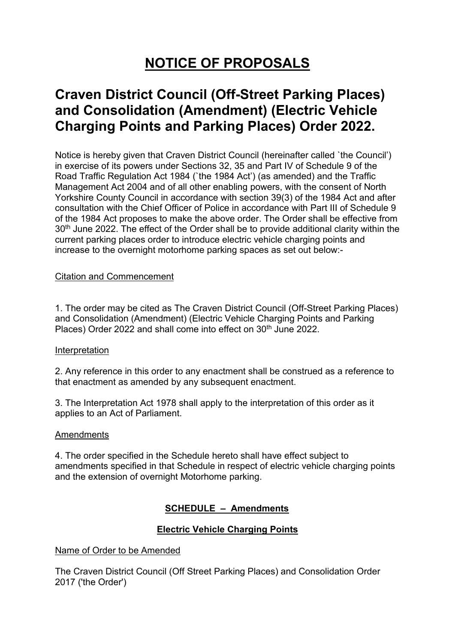# **NOTICE OF PROPOSALS**

# **Craven District Council (Off-Street Parking Places) and Consolidation (Amendment) (Electric Vehicle Charging Points and Parking Places) Order 2022.**

Notice is hereby given that Craven District Council (hereinafter called `the Council') in exercise of its powers under Sections 32, 35 and Part IV of Schedule 9 of the Road Traffic Regulation Act 1984 (`the 1984 Act') (as amended) and the Traffic Management Act 2004 and of all other enabling powers, with the consent of North Yorkshire County Council in accordance with section 39(3) of the 1984 Act and after consultation with the Chief Officer of Police in accordance with Part III of Schedule 9 of the 1984 Act proposes to make the above order. The Order shall be effective from 30<sup>th</sup> June 2022. The effect of the Order shall be to provide additional clarity within the current parking places order to introduce electric vehicle charging points and increase to the overnight motorhome parking spaces as set out below:-

#### Citation and Commencement

1. The order may be cited as The Craven District Council (Off-Street Parking Places) and Consolidation (Amendment) (Electric Vehicle Charging Points and Parking Places) Order 2022 and shall come into effect on 30<sup>th</sup> June 2022.

#### Interpretation

2. Any reference in this order to any enactment shall be construed as a reference to that enactment as amended by any subsequent enactment.

3. The Interpretation Act 1978 shall apply to the interpretation of this order as it applies to an Act of Parliament.

#### **Amendments**

4. The order specified in the Schedule hereto shall have effect subject to amendments specified in that Schedule in respect of electric vehicle charging points and the extension of overnight Motorhome parking.

## **SCHEDULE – Amendments**

#### **Electric Vehicle Charging Points**

#### Name of Order to be Amended

The Craven District Council (Off Street Parking Places) and Consolidation Order 2017 ('the Order')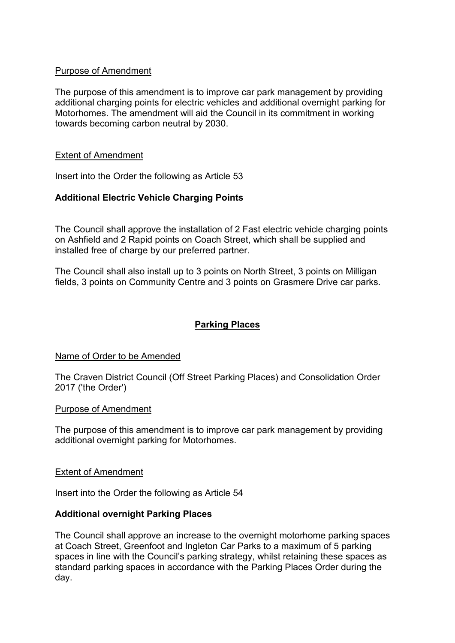#### Purpose of Amendment

The purpose of this amendment is to improve car park management by providing additional charging points for electric vehicles and additional overnight parking for Motorhomes. The amendment will aid the Council in its commitment in working towards becoming carbon neutral by 2030.

#### Extent of Amendment

Insert into the Order the following as Article 53

## **Additional Electric Vehicle Charging Points**

The Council shall approve the installation of 2 Fast electric vehicle charging points on Ashfield and 2 Rapid points on Coach Street, which shall be supplied and installed free of charge by our preferred partner.

The Council shall also install up to 3 points on North Street, 3 points on Milligan fields, 3 points on Community Centre and 3 points on Grasmere Drive car parks.

# **Parking Places**

#### Name of Order to be Amended

The Craven District Council (Off Street Parking Places) and Consolidation Order 2017 ('the Order')

#### Purpose of Amendment

The purpose of this amendment is to improve car park management by providing additional overnight parking for Motorhomes.

#### Extent of Amendment

Insert into the Order the following as Article 54

#### **Additional overnight Parking Places**

The Council shall approve an increase to the overnight motorhome parking spaces at Coach Street, Greenfoot and Ingleton Car Parks to a maximum of 5 parking spaces in line with the Council's parking strategy, whilst retaining these spaces as standard parking spaces in accordance with the Parking Places Order during the day.